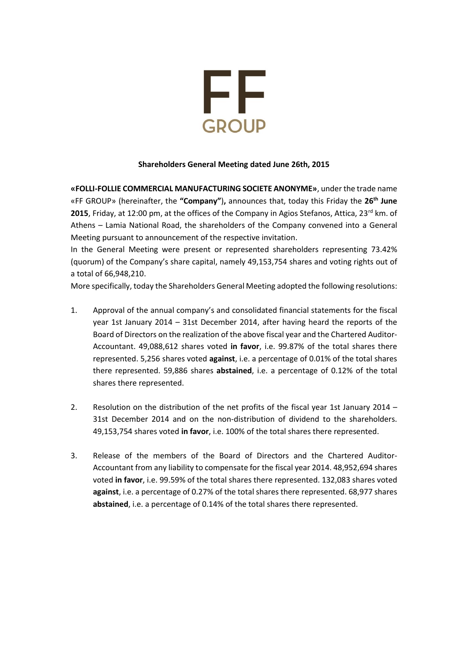

## **Shareholders General Μeeting dated June 26th, 2015**

**«FOLLI-FOLLIE COMMERCIAL MANUFACTURING SOCIETE ANONYME»**, under the trade name «FF GROUP» (hereinafter, the **"Company"**)**,** announces that, today this Friday the **26 th June 2015**, Friday, at 12:00 pm, at the offices of the Company in Agios Stefanos, Attica, 23<sup>rd</sup> km. of Athens – Lamia National Road, the shareholders of the Company convened into a General Meeting pursuant to announcement of the respective invitation.

In the General Meeting were present or represented shareholders representing 73.42% (quorum) of the Company's share capital, namely 49,153,754 shares and voting rights out of a total of 66,948,210.

More specifically, today the Shareholders General Meeting adopted the following resolutions:

- 1. Approval of the annual company's and consolidated financial statements for the fiscal year 1st January 2014 – 31st December 2014, after having heard the reports of the Board of Directors on the realization of the above fiscal year and the Chartered Auditor-Accountant. 49,088,612 shares voted **in favor**, i.e. 99.87% of the total shares there represented. 5,256 shares voted **against**, i.e. a percentage of 0.01% of the total shares there represented. 59,886 shares **abstained**, i.e. a percentage of 0.12% of the total shares there represented.
- 2. Resolution on the distribution of the net profits of the fiscal year 1st January 2014 31st December 2014 and on the non-distribution of dividend to the shareholders. 49,153,754 shares voted **in favor**, i.e. 100% of the total shares there represented.
- 3. Release of the members of the Board of Directors and the Chartered Auditor-Accountant from any liability to compensate for the fiscal year 2014. 48,952,694 shares voted **in favor**, i.e. 99.59% of the total shares there represented. 132,083 shares voted **against**, i.e. a percentage of 0.27% of the total shares there represented. 68,977 shares **abstained**, i.e. a percentage of 0.14% of the total shares there represented.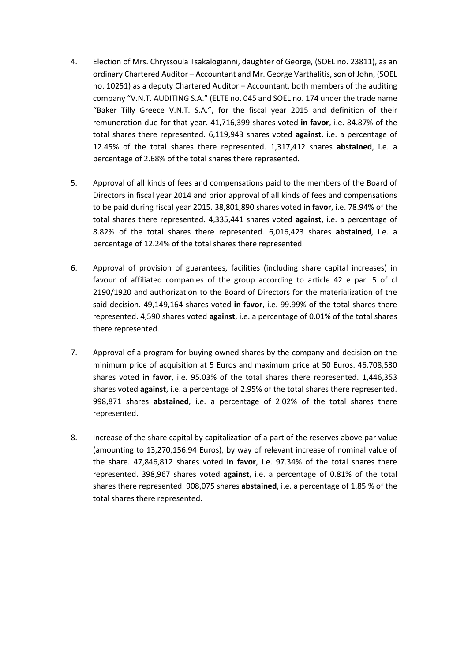- 4. Election of Mrs. Chryssoula Tsakalogianni, daughter of George, (SOEL no. 23811), as an ordinary Chartered Auditor – Accountant and Mr. George Varthalitis, son of John, (SOEL no. 10251) as a deputy Chartered Auditor – Accountant, both members of the auditing company "V.N.T. AUDITING S.A." (ELTE no. 045 and SOEL no. 174 under the trade name "Baker Tilly Greece V.N.T. S.A.", for the fiscal year 2015 and definition of their remuneration due for that year. 41,716,399 shares voted **in favor**, i.e. 84.87% of the total shares there represented. 6,119,943 shares voted **against**, i.e. a percentage of 12.45% of the total shares there represented. 1,317,412 shares **abstained**, i.e. a percentage of 2.68% of the total shares there represented.
- 5. Approval of all kinds of fees and compensations paid to the members of the Board of Directors in fiscal year 2014 and prior approval of all kinds of fees and compensations to be paid during fiscal year 2015. 38,801,890 shares voted **in favor**, i.e. 78.94% of the total shares there represented. 4,335,441 shares voted **against**, i.e. a percentage of 8.82% of the total shares there represented. 6,016,423 shares **abstained**, i.e. a percentage of 12.24% of the total shares there represented.
- 6. Approval of provision of guarantees, facilities (including share capital increases) in favour of affiliated companies of the group according to article 42 e par. 5 of cl 2190/1920 and authorization to the Board of Directors for the materialization of the said decision. 49,149,164 shares voted **in favor**, i.e. 99.99% of the total shares there represented. 4,590 shares voted **against**, i.e. a percentage of 0.01% of the total shares there represented.
- 7. Approval of a program for buying owned shares by the company and decision on the minimum price of acquisition at 5 Euros and maximum price at 50 Euros. 46,708,530 shares voted **in favor**, i.e. 95.03% of the total shares there represented. 1,446,353 shares voted **against**, i.e. a percentage of 2.95% of the total shares there represented. 998,871 shares **abstained**, i.e. a percentage of 2.02% of the total shares there represented.
- 8. Increase of the share capital by capitalization of a part of the reserves above par value (amounting to 13,270,156.94 Euros), by way of relevant increase of nominal value of the share. 47,846,812 shares voted **in favor**, i.e. 97.34% of the total shares there represented. 398,967 shares voted **against**, i.e. a percentage of 0.81% of the total shares there represented. 908,075 shares **abstained**, i.e. a percentage of 1.85 % of the total shares there represented.